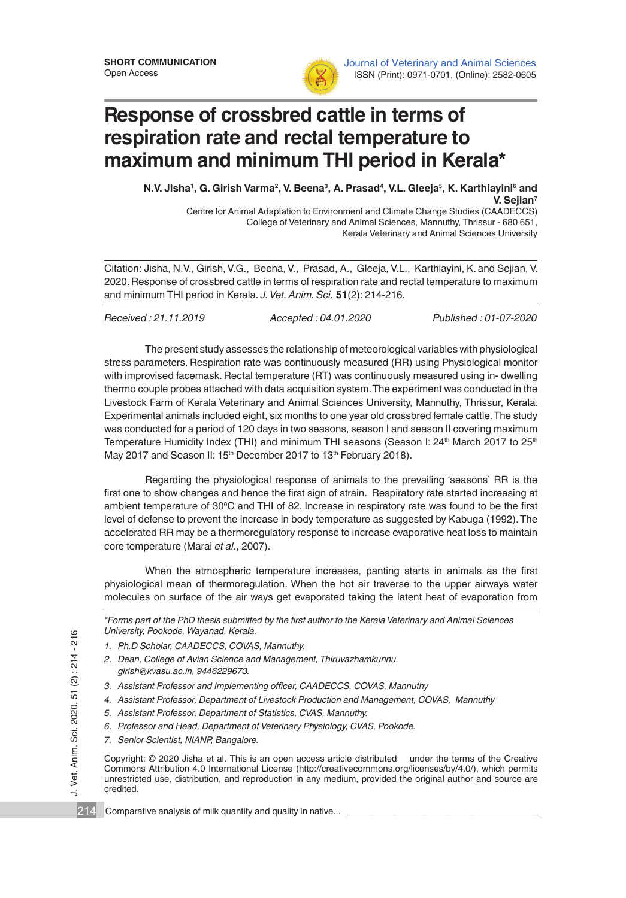

Journal of Veterinary and Animal Sciences ISSN (Print): 0971-0701, (Online): 2582-0605

## **Response of crossbred cattle in terms of respiration rate and rectal temperature to maximum and minimum THI period in Kerala\***

N.V. Jisha<sup>1</sup>, G. Girish Varma<sup>2</sup>, V. Beena<sup>3</sup>, A. Prasad<sup>4</sup>, V.L. Gleeja<sup>5</sup>, K. Karthiayini<sup>6</sup> and **V. Sejian7** Centre for Animal Adaptation to Environment and Climate Change Studies (CAADECCS)

College of Veterinary and Animal Sciences, Mannuthy, Thrissur - 680 651, Kerala Veterinary and Animal Sciences University

Citation: Jisha, N.V., Girish, V.G., Beena, V., Prasad, A., Gleeja, V.L., Karthiayini, K. and Sejian, V. 2020. Response of crossbred cattle in terms of respiration rate and rectal temperature to maximum and minimum THI period in Kerala. *J. Vet. Anim. Sci.* **51**(2): 214-216.

*Received : 21.11.2019 Accepted : 04.01.2020 Published : 01-07-2020*

The present study assesses the relationship of meteorological variables with physiological stress parameters. Respiration rate was continuously measured (RR) using Physiological monitor with improvised facemask. Rectal temperature (RT) was continuously measured using in- dwelling thermo couple probes attached with data acquisition system. The experiment was conducted in the Livestock Farm of Kerala Veterinary and Animal Sciences University, Mannuthy, Thrissur, Kerala. Experimental animals included eight, six months to one year old crossbred female cattle. The study was conducted for a period of 120 days in two seasons, season I and season II covering maximum Temperature Humidity Index (THI) and minimum THI seasons (Season I: 24<sup>th</sup> March 2017 to 25<sup>th</sup> May 2017 and Season II: 15<sup>th</sup> December 2017 to 13<sup>th</sup> February 2018).

Regarding the physiological response of animals to the prevailing 'seasons' RR is the first one to show changes and hence the first sign of strain. Respiratory rate started increasing at ambient temperature of 30°C and THI of 82. Increase in respiratory rate was found to be the first level of defense to prevent the increase in body temperature as suggested by Kabuga (1992). The accelerated RR may be a thermoregulatory response to increase evaporative heat loss to maintain core temperature (Marai *et al*., 2007).

When the atmospheric temperature increases, panting starts in animals as the first physiological mean of thermoregulation. When the hot air traverse to the upper airways water molecules on surface of the air ways get evaporated taking the latent heat of evaporation from

| *Forms part of the PhD thesis submitted by the first author to the Kerala Veterinary and Animal Sciences |  |
|----------------------------------------------------------------------------------------------------------|--|
| University, Pookode, Wayanad, Kerala.                                                                    |  |

- *1. Ph.D Scholar, CAADECCS, COVAS, Mannuthy.*
- *2. Dean, College of Avian Science and Management, Thiruvazhamkunnu. girish@kvasu.ac.in, 9446229673.*
- *3. Assistant Professor and Implementing officer, CAADECCS, COVAS, Mannuthy*
- *4. Assistant Professor, Department of Livestock Production and Management, COVAS, Mannuthy*
- *5. Assistant Professor, Department of Statistics, CVAS, Mannuthy.*
- *6. Professor and Head, Department of Veterinary Physiology, CVAS, Pookode.*
- *7. Senior Scientist, NIANP, Bangalore.*

Vet. Anim. Sci. 2020. 51 (2): 214 - 216

 $\overline{\phantom{a}}$ 

J. Vet. Anim. Sci. 2020. 51 (2) : 214 - 216<br>12<br>14 Copyright: © 2020 Jisha et al. This is an open access article distributed under the terms of the Creative Commons Attribution 4.0 International License (http://creativecommons.org/licenses/by/4.0/), which permits unrestricted use, distribution, and reproduction in any medium, provided the original author and source are credited.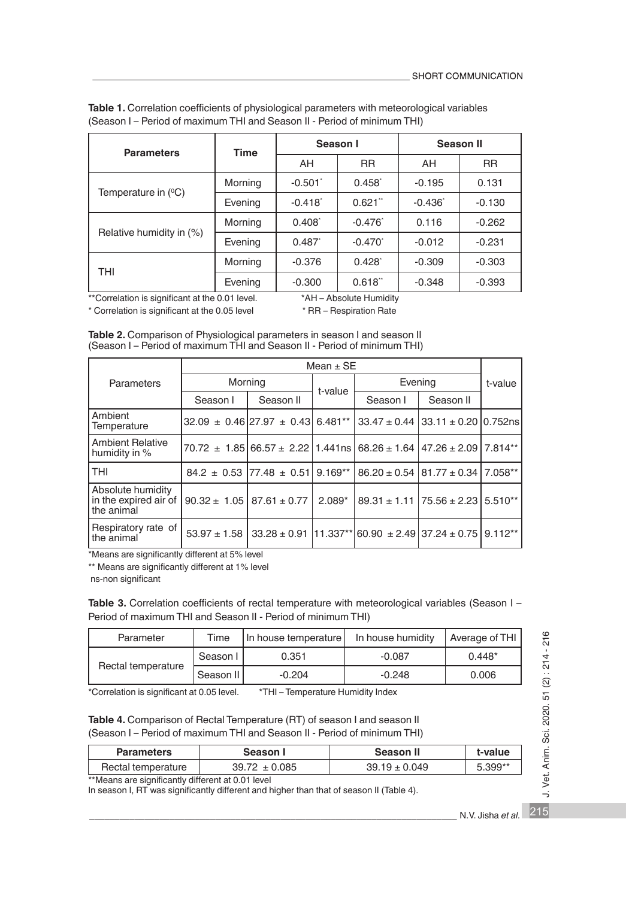| <b>Parameters</b>            | <b>Time</b> | Season I        |                  | <b>Season II</b> |           |
|------------------------------|-------------|-----------------|------------------|------------------|-----------|
|                              |             | AH              | <b>RR</b>        | AH               | <b>RR</b> |
| Temperature in $(^{\circ}C)$ | Morning     | $-0.501$        | $0.458^{*}$      | $-0.195$         | 0.131     |
|                              | Evening     | $-0.418$        | $0.621$ "        | $-0.436"$        | $-0.130$  |
| Relative humidity in (%)     | Morning     | $0.408^{\circ}$ | $-0.476^{\circ}$ | 0.116            | $-0.262$  |
|                              | Evening     | 0.487           | $-0.470$         | $-0.012$         | $-0.231$  |
| THI                          | Morning     | $-0.376$        | $0.428^{*}$      | $-0.309$         | $-0.303$  |
|                              | Evening     | $-0.300$        | 0.618"           | $-0.348$         | $-0.393$  |

**Table 1.** Correlation coefficients of physiological parameters with meteorological variables (Season I – Period of maximum THI and Season II - Period of minimum THI)

\*Correlation is significant at the 0.01 level. \*\*\* AH – Absolute Humidity<br>Correlation is significant at the 0.05 level \*\*\* RR – Respiration Rate \* Correlation is significant at the 0.05 level

| Table 2. Comparison of Physiological parameters in season I and season II |
|---------------------------------------------------------------------------|
| (Season I - Period of maximum THI and Season II - Period of minimum THI)  |

|                                                          | Mean $\pm$ SE                                                                |                                                                                           |           |          |                                               |           |
|----------------------------------------------------------|------------------------------------------------------------------------------|-------------------------------------------------------------------------------------------|-----------|----------|-----------------------------------------------|-----------|
| <b>Parameters</b>                                        | Morning                                                                      |                                                                                           | t-value   | Evening  |                                               | t-value   |
|                                                          | Season I                                                                     | Season II                                                                                 |           | Season I | Season II                                     |           |
| Ambient<br>Temperature                                   |                                                                              | $32.09 \pm 0.46$ 27.97 $\pm 0.43$ 6.481**   33.47 $\pm 0.44$   33.11 $\pm 0.20$   0.752ns |           |          |                                               |           |
| <b>Ambient Relative</b><br>humidity in %                 | $70.72 \pm 1.85$ 66.57 $\pm 2.22$ 1.441ns 68.26 $\pm 1.64$ 147.26 $\pm 2.09$ |                                                                                           |           |          |                                               | 7.814**   |
| <b>THI</b>                                               |                                                                              | $84.2 \pm 0.53$ 77.48 $\pm$ 0.51                                                          | $9.169**$ |          | $86.20 \pm 0.54$   81.77 $\pm$ 0.34   7.058** |           |
| Absolute humidity<br>in the expired air of<br>the animal | $90.32 \pm 1.05$ 87.61 $\pm$ 0.77                                            |                                                                                           | $2.089*$  |          | $89.31 \pm 1.11$ 75.56 $\pm$ 2.23             | $5.510**$ |
| Respiratory rate of<br>the animal                        |                                                                              | $53.97 \pm 1.58$   33.28 $\pm$ 0.91   11.337**   60.90 $\pm$ 2.49   37.24 $\pm$ 0.75      |           |          |                                               | $9.112**$ |

\*Means are significantly different at 5% level

\*\* Means are significantly different at 1% level

ns-non significant

Table 3. Correlation coefficients of rectal temperature with meteorological variables (Season I -Period of maximum THI and Season II - Period of minimum THI)

| Parameter          | <b>Time</b> | In house temperature | In house humidity | Average of THI |
|--------------------|-------------|----------------------|-------------------|----------------|
| Rectal temperature | Season I    | 0.351                | $-0.087$          | $0.448*$       |
|                    | Season II   | $-0.204$             | $-0.248$          | 0.006          |

\*Correlation is significant at 0.05 level. \*THI – Temperature Humidity Index

## Table 4. Comparison of Rectal Temperature (RT) of season I and season II (Season I – Period of maximum THI and Season II - Period of minimum THI)

| <b>Parameters</b>  | Season I          | Season II         | t-value   |
|--------------------|-------------------|-------------------|-----------|
| Rectal temperature | $39.72 \pm 0.085$ | $39.19 \pm 0.049$ | $5.399**$ |

\*\*Means are significantly different at 0.01 level In season I, RT was significantly different and higher than that of season II (Table 4).